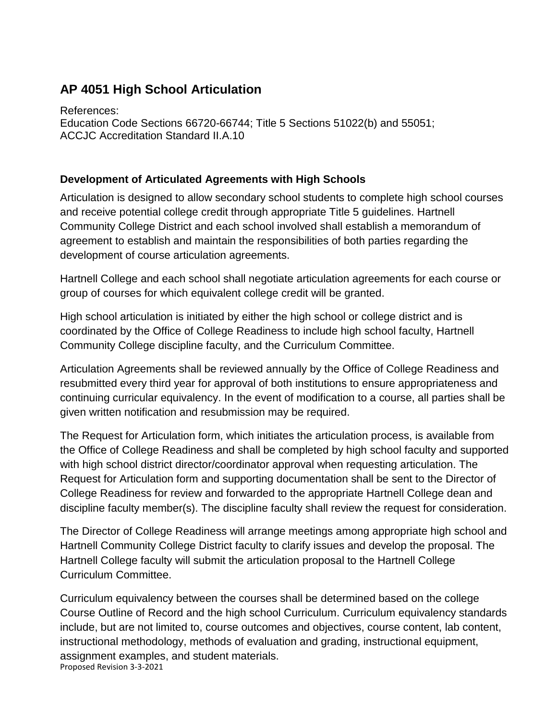## **AP 4051 High School Articulation**

References: Education Code Sections 66720-66744; Title 5 Sections 51022(b) and 55051; ACCJC Accreditation Standard II.A.10

## **Development of Articulated Agreements with High Schools**

Articulation is designed to allow secondary school students to complete high school courses and receive potential college credit through appropriate Title 5 guidelines. Hartnell Community College District and each school involved shall establish a memorandum of agreement to establish and maintain the responsibilities of both parties regarding the development of course articulation agreements.

Hartnell College and each school shall negotiate articulation agreements for each course or group of courses for which equivalent college credit will be granted.

High school articulation is initiated by either the high school or college district and is coordinated by the Office of College Readiness to include high school faculty, Hartnell Community College discipline faculty, and the Curriculum Committee.

Articulation Agreements shall be reviewed annually by the Office of College Readiness and resubmitted every third year for approval of both institutions to ensure appropriateness and continuing curricular equivalency. In the event of modification to a course, all parties shall be given written notification and resubmission may be required.

The Request for Articulation form, which initiates the articulation process, is available from the Office of College Readiness and shall be completed by high school faculty and supported with high school district director/coordinator approval when requesting articulation. The Request for Articulation form and supporting documentation shall be sent to the Director of College Readiness for review and forwarded to the appropriate Hartnell College dean and discipline faculty member(s). The discipline faculty shall review the request for consideration.

The Director of College Readiness will arrange meetings among appropriate high school and Hartnell Community College District faculty to clarify issues and develop the proposal. The Hartnell College faculty will submit the articulation proposal to the Hartnell College Curriculum Committee.

Proposed Revision 3-3-2021 Curriculum equivalency between the courses shall be determined based on the college Course Outline of Record and the high school Curriculum. Curriculum equivalency standards include, but are not limited to, course outcomes and objectives, course content, lab content, instructional methodology, methods of evaluation and grading, instructional equipment, assignment examples, and student materials.